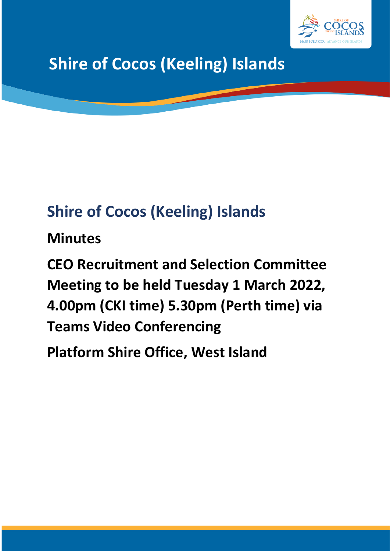

# **Shire of Cocos (Keeling) Islands**

# **Shire of Cocos (Keeling) Islands**

**Minutes**

**CEO Recruitment and Selection Committee Meeting to be held Tuesday 1 March 2022, 4.00pm (CKI time) 5.30pm (Perth time) via Teams Video Conferencing**

**Platform Shire Office, West Island**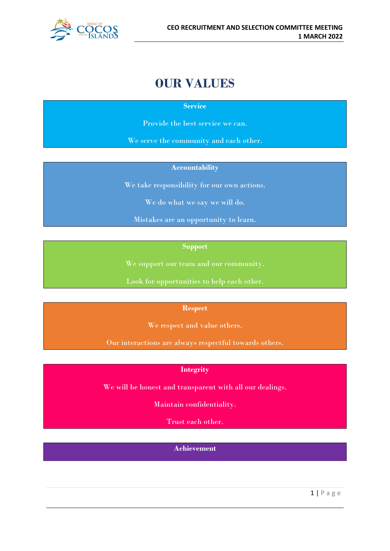

# **OUR VALUES**

**Service**

Provide the best service we can.

We serve the community and each other.

#### **Accountability**

We take responsibility for our own actions.

We do what we say we will do.

Mistakes are an opportunity to learn.

**Support**

We support our team and our community.

Look for opportunities to help each other.

#### **Respect**

We respect and value others.

Our interactions are always respectful towards others.

### **Integrity**

We will be honest and transparent with all our dealings.

Maintain confidentiality.

Trust each other.

**Achievement**

1 | Page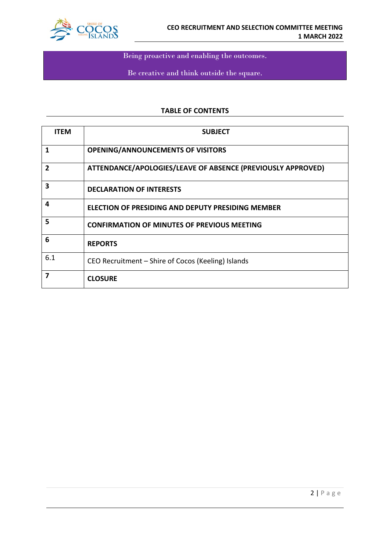

Being proactive and enabling the outcomes.

Be creative and think outside the square.

#### **TABLE OF CONTENTS**

| <b>ITEM</b>    | <b>SUBJECT</b>                                              |
|----------------|-------------------------------------------------------------|
| 1              | <b>OPENING/ANNOUNCEMENTS OF VISITORS</b>                    |
| $\overline{2}$ | ATTENDANCE/APOLOGIES/LEAVE OF ABSENCE (PREVIOUSLY APPROVED) |
| 3              | <b>DECLARATION OF INTERESTS</b>                             |
| 4              | <b>ELECTION OF PRESIDING AND DEPUTY PRESIDING MEMBER</b>    |
| 5              | <b>CONFIRMATION OF MINUTES OF PREVIOUS MEETING</b>          |
| 6              | <b>REPORTS</b>                                              |
| 6.1            | CEO Recruitment – Shire of Cocos (Keeling) Islands          |
| 7              | <b>CLOSURE</b>                                              |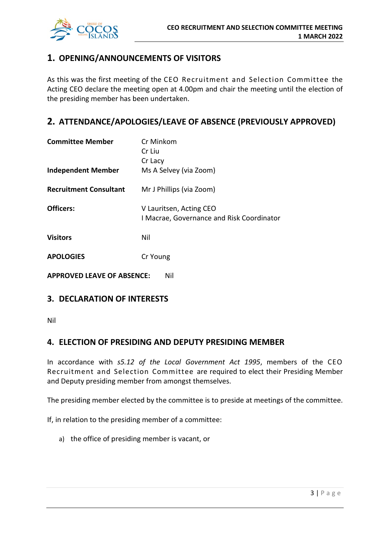

# **1. OPENING/ANNOUNCEMENTS OF VISITORS**

As this was the first meeting of the CEO Recruitment and Selection Committee the Acting CEO declare the meeting open at 4.00pm and chair the meeting until the election of the presiding member has been undertaken.

# **2. ATTENDANCE/APOLOGIES/LEAVE OF ABSENCE (PREVIOUSLY APPROVED)**

| <b>Committee Member</b>                  | Cr Minkom                                                            |  |  |
|------------------------------------------|----------------------------------------------------------------------|--|--|
|                                          | Cr Liu                                                               |  |  |
|                                          | Cr Lacy                                                              |  |  |
| <b>Independent Member</b>                | Ms A Selvey (via Zoom)                                               |  |  |
| <b>Recruitment Consultant</b>            | Mr J Phillips (via Zoom)                                             |  |  |
| Officers:                                | V Lauritsen, Acting CEO<br>I Macrae, Governance and Risk Coordinator |  |  |
| <b>Visitors</b>                          | Nil                                                                  |  |  |
| <b>APOLOGIES</b>                         | Cr Young                                                             |  |  |
| <b>APPROVED LEAVE OF ABSENCE:</b><br>Nil |                                                                      |  |  |

# **3. DECLARATION OF INTERESTS**

Nil

## **4. ELECTION OF PRESIDING AND DEPUTY PRESIDING MEMBER**

In accordance with *s5.12 of the Local Government Act 1995*, members of the CEO Recruitment and Selection Committee are required to elect their Presiding Member and Deputy presiding member from amongst themselves.

The presiding member elected by the committee is to preside at meetings of the committee.

If, in relation to the presiding member of a committee:

a) the office of presiding member is vacant, or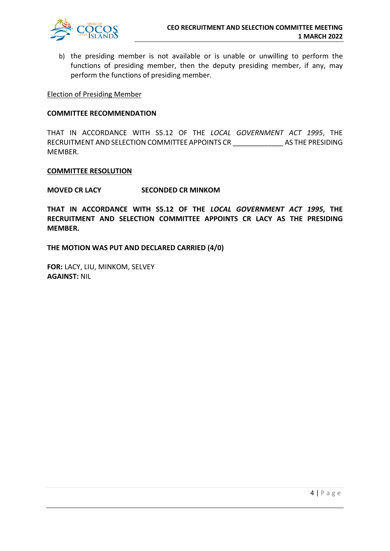

b) the presiding member is not available or is unable or unwilling to perform the functions of presiding member, then the deputy presiding member, if any, may perform the functions of presiding member.

#### Election of Presiding Member

#### **COMMITTEE RECOMMENDATION**

THAT IN ACCORDANCE WITH S5.12 OF THE *LOCAL GOVERNMENT ACT 1995*, THE RECRUITMENT AND SELECTION COMMITTEE APPOINTS CR \_\_\_\_\_\_\_\_\_\_\_\_\_ AS THE PRESIDING MEMBER.

#### **COMMITTEE RESOLUTION**

#### **MOVED CR LACY SECONDED CR MINKOM**

**THAT IN ACCORDANCE WITH S5.12 OF THE** *LOCAL GOVERNMENT ACT 1995***, THE RECRUITMENT AND SELECTION COMMITTEE APPOINTS CR LACY AS THE PRESIDING MEMBER.**

**THE MOTION WAS PUT AND DECLARED CARRIED (4/0)**

**FOR:** LACY, LIU, MINKOM, SELVEY **AGAINST:** NIL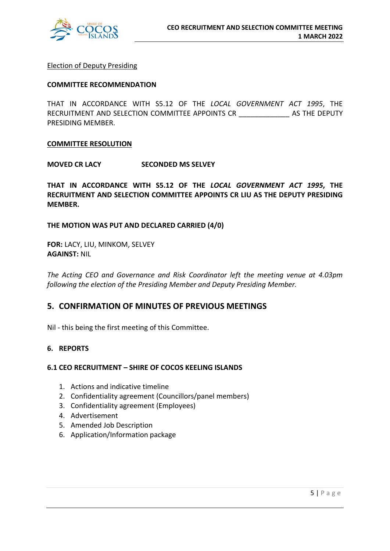

#### Election of Deputy Presiding

#### **COMMITTEE RECOMMENDATION**

THAT IN ACCORDANCE WITH S5.12 OF THE *LOCAL GOVERNMENT ACT 1995*, THE RECRUITMENT AND SELECTION COMMITTEE APPOINTS CR \_\_\_\_\_\_\_\_\_\_\_\_\_\_\_\_\_ AS THE DEPUTY PRESIDING MEMBER.

#### **COMMITTEE RESOLUTION**

**MOVED CR LACY SECONDED MS SELVEY**

**THAT IN ACCORDANCE WITH S5.12 OF THE** *LOCAL GOVERNMENT ACT 1995***, THE RECRUITMENT AND SELECTION COMMITTEE APPOINTS CR LIU AS THE DEPUTY PRESIDING MEMBER.**

#### **THE MOTION WAS PUT AND DECLARED CARRIED (4/0)**

**FOR:** LACY, LIU, MINKOM, SELVEY **AGAINST:** NIL

*The Acting CEO and Governance and Risk Coordinator left the meeting venue at 4.03pm following the election of the Presiding Member and Deputy Presiding Member.*

### **5. CONFIRMATION OF MINUTES OF PREVIOUS MEETINGS**

Nil - this being the first meeting of this Committee.

#### **6. REPORTS**

#### **6.1 CEO RECRUITMENT – SHIRE OF COCOS KEELING ISLANDS**

- 1. Actions and indicative timeline
- 2. Confidentiality agreement (Councillors/panel members)
- 3. Confidentiality agreement (Employees)
- 4. Advertisement
- 5. Amended Job Description
- 6. Application/Information package